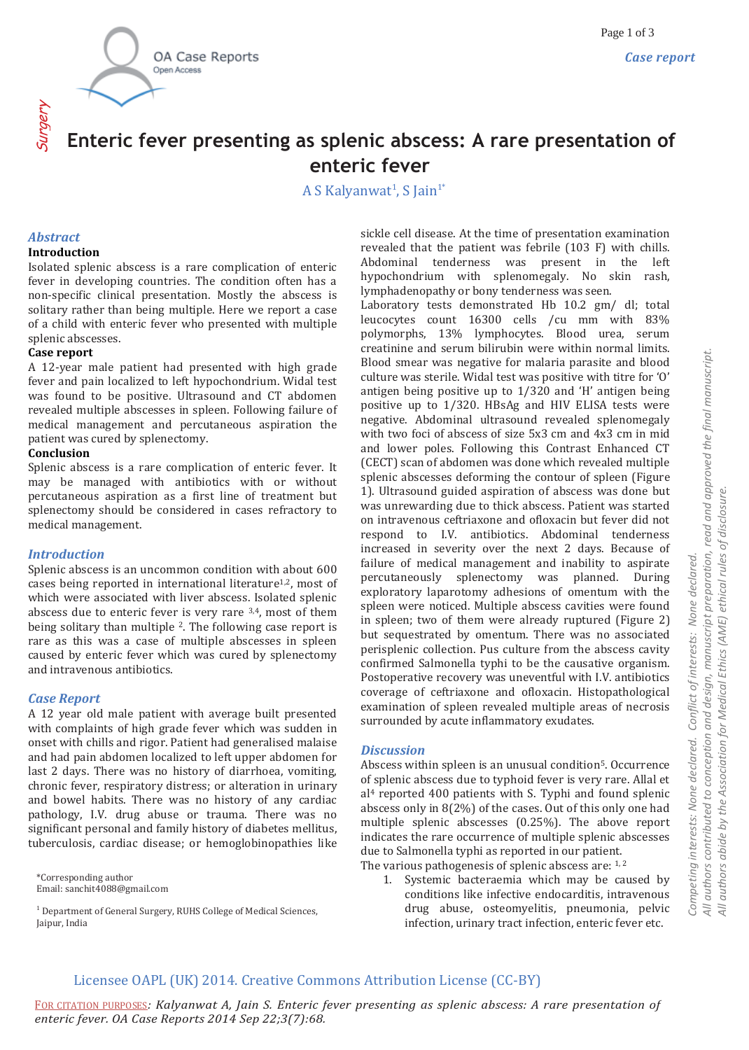

# **Enteric fever presenting as splenic abscess: A rare presentation of enteric fever**

A S Kalyanwat<sup>1</sup>, S Jain<sup>1\*</sup>

## *Abstract*

#### **Introduction**

Isolated splenic abscess is a rare complication of enteric fever in developing countries. The condition often has a non-specific clinical presentation. Mostly the abscess is solitary rather than being multiple. Here we report a case of a child with enteric fever who presented with multiple splenic abscesses.

#### **Case report**

A 12-year male patient had presented with high grade fever and pain localized to left hypochondrium. Widal test was found to be positive. Ultrasound and CT abdomen revealed multiple abscesses in spleen. Following failure of medical management and percutaneous aspiration the patient was cured by splenectomy.

#### **Conclusion**

Splenic abscess is a rare complication of enteric fever. It may be managed with antibiotics with or without percutaneous aspiration as a first line of treatment but splenectomy should be considered in cases refractory to medical management.

## *Introduction*

Splenic abscess is an uncommon condition with about 600 cases being reported in international literature1,2, most of which were associated with liver abscess. Isolated splenic abscess due to enteric fever is very rare 3,4, most of them being solitary than multiple 2. The following case report is rare as this was a case of multiple abscesses in spleen caused by enteric fever which was cured by splenectomy and intravenous antibiotics.

#### *Case Report*

A 12 year old male patient with average built presented with complaints of high grade fever which was sudden in onset with chills and rigor. Patient had generalised malaise and had pain abdomen localized to left upper abdomen for last 2 days. There was no history of diarrhoea, vomiting, chronic fever, respiratory distress; or alteration in urinary and bowel habits. There was no history of any cardiac pathology, I.V. drug abuse or trauma. There was no significant personal and family history of diabetes mellitus, tuberculosis, cardiac disease; or hemoglobinopathies like

\*Corresponding author Email: sanchit4088@gmail.com

 $^1$  Department of General Surgery, RUHS College of Medical Sciences, Jaipur, India

sickle cell disease. At the time of presentation examination revealed that the patient was febrile (103 F) with chills. Abdominal tenderness was present in the left hypochondrium with splenomegaly. No skin rash, lymphadenopathy or bony tenderness was seen.

Laboratory tests demonstrated Hb 10.2 gm/ dl; total leucocytes count 16300 cells /cu mm with 83% polymorphs, 13% lymphocytes. Blood urea, serum creatinine and serum bilirubin were within normal limits. Blood smear was negative for malaria parasite and blood culture was sterile. Widal test was positive with titre for 'O' antigen being positive up to 1/320 and 'H' antigen being positive up to 1/320. HBsAg and HIV ELISA tests were negative. Abdominal ultrasound revealed splenomegaly with two foci of abscess of size 5x3 cm and 4x3 cm in mid and lower poles. Following this Contrast Enhanced CT (CECT) scan of abdomen was done which revealed multiple splenic abscesses deforming the contour of spleen (Figure 1). Ultrasound guided aspiration of abscess was done but was unrewarding due to thick abscess. Patient was started on intravenous ceftriaxone and ofloxacin but fever did not respond to I.V. antibiotics. Abdominal tenderness increased in severity over the next 2 days. Because of failure of medical management and inability to aspirate percutaneously splenectomy was planned. During exploratory laparotomy adhesions of omentum with the spleen were noticed. Multiple abscess cavities were found in spleen; two of them were already ruptured (Figure 2) but sequestrated by omentum. There was no associated perisplenic collection. Pus culture from the abscess cavity confirmed Salmonella typhi to be the causative organism. Postoperative recovery was uneventful with I.V. antibiotics coverage of ceftriaxone and ofloxacin. Histopathological examination of spleen revealed multiple areas of necrosis surrounded by acute inflammatory exudates.

### *Discussion*

Abscess within spleen is an unusual condition5. Occurrence of splenic abscess due to typhoid fever is very rare. Allal et al<sup>4</sup> reported 400 patients with S. Typhi and found splenic abscess only in 8(2%) of the cases. Out of this only one had multiple splenic abscesses (0.25%). The above report indicates the rare occurrence of multiple splenic abscesses due to Salmonella typhi as reported in our patient. The various pathogenesis of splenic abscess are: 1, 2

1. Systemic bacteraemia which may be caused by conditions like infective endocarditis, intravenous drug abuse, osteomyelitis, pneumonia, pelvic infection, urinary tract infection, enteric fever etc.

FOR CITATION PURPOSES*: Kalyanwat A, Jain S. Enteric fever presenting as splenic abscess: A rare presentation of enteric fever. OA Case Reports 2014 Sep 22;3(7):68.*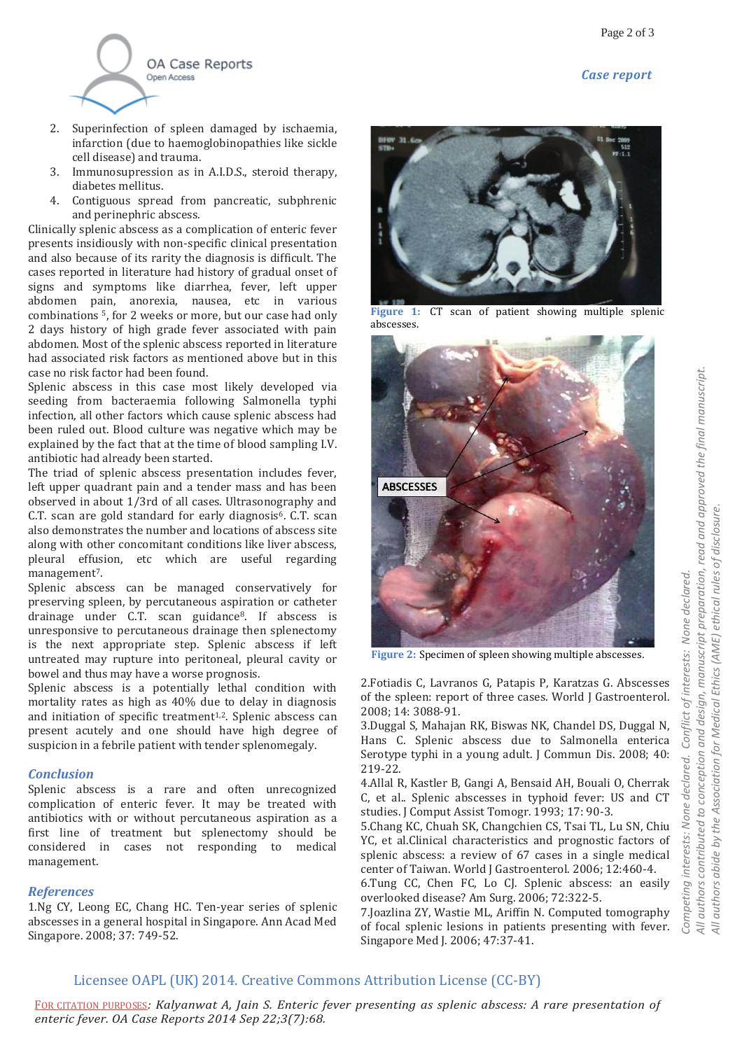*Case report*



- 2. Superinfection of spleen damaged by ischaemia, infarction (due to haemoglobinopathies like sickle cell disease) and trauma.
- 3. Immunosupression as in A.I.D.S., steroid therapy, diabetes mellitus.
- 4. Contiguous spread from pancreatic, subphrenic and perinephric abscess.

Clinically splenic abscess as a complication of enteric fever presents insidiously with non-specific clinical presentation and also because of its rarity the diagnosis is difficult. The cases reported in literature had history of gradual onset of signs and symptoms like diarrhea, fever, left upper abdomen pain, anorexia, nausea, etc in various combinations 5, for 2 weeks or more, but our case had only 2 days history of high grade fever associated with pain abdomen. Most of the splenic abscess reported in literature had associated risk factors as mentioned above but in this case no risk factor had been found.

Splenic abscess in this case most likely developed via seeding from bacteraemia following Salmonella typhi infection, all other factors which cause splenic abscess had been ruled out. Blood culture was negative which may be explained by the fact that at the time of blood sampling I.V. antibiotic had already been started.

The triad of splenic abscess presentation includes fever, left upper quadrant pain and a tender mass and has been observed in about 1/3rd of all cases. Ultrasonography and C.T. scan are gold standard for early diagnosis<sup>6</sup>. C.T. scan also demonstrates the number and locations of abscess site along with other concomitant conditions like liver abscess, pleural effusion, etc which are useful regarding management<sup>7</sup>.

Splenic abscess can be managed conservatively for preserving spleen, by percutaneous aspiration or catheter drainage under C.T. scan guidance8. If abscess is unresponsive to percutaneous drainage then splenectomy is the next appropriate step. Splenic abscess if left untreated may rupture into peritoneal, pleural cavity or bowel and thus may have a worse prognosis.

Splenic abscess is a potentially lethal condition with mortality rates as high as 40% due to delay in diagnosis and initiation of specific treatment<sup>1,2</sup>. Splenic abscess can present acutely and one should have high degree of suspicion in a febrile patient with tender splenomegaly.

## *Conclusion*

Splenic abscess is a rare and often unrecognized complication of enteric fever. It may be treated with antibiotics with or without percutaneous aspiration as a first line of treatment but splenectomy should be considered in cases not responding to medical management.

## *References*

1.Ng CY, Leong EC, Chang HC. Ten-year series of splenic abscesses in a general hospital in Singapore. Ann Acad Med Singapore. 2008; 37: 749-52.



**Figure 1:** CT scan of patient showing multiple splenic abscesses.



**Figure 2:** Specimen of spleen showing multiple abscesses.

2.Fotiadis C, Lavranos G, Patapis P, Karatzas G. Abscesses of the spleen: report of three cases. World J Gastroenterol. 2008; 14: 3088-91.

3.Duggal S, Mahajan RK, Biswas NK, Chandel DS, Duggal N, Hans C. Splenic abscess due to Salmonella enterica Serotype typhi in a young adult. J Commun Dis. 2008; 40: 219-22.

4.Allal R, Kastler B, Gangi A, Bensaid AH, Bouali O, Cherrak C, et al.. Splenic abscesses in typhoid fever: US and CT studies. J Comput Assist Tomogr. 1993; 17: 90-3.

5.Chang KC, Chuah SK, Changchien CS, Tsai TL, Lu SN, Chiu YC, et al.Clinical characteristics and prognostic factors of splenic abscess: a review of 67 cases in a single medical center of Taiwan. World J Gastroenterol. 2006; 12:460-4.

6.Tung CC, Chen FC, Lo CJ. Splenic abscess: an easily overlooked disease? Am Surg. 2006; 72:322-5.

7.Joazlina ZY, Wastie ML, Ariffin N. Computed tomography of focal splenic lesions in patients presenting with fever. Singapore Med J. 2006; 47:37-41.

## Licensee OAPL (UK) 2014. Creative Commons Attribution License (CC-BY)

FOR CITATION PURPOSES*: Kalyanwat A, Jain S. Enteric fever presenting as splenic abscess: A rare presentation of enteric fever. OA Case Reports 2014 Sep 22;3(7):68.*